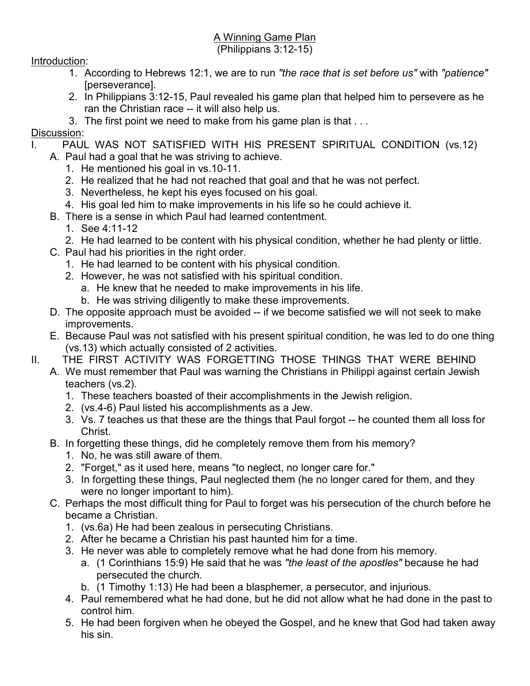## A Winning Game Plan

## (Philippians 3:12-15)

## Introduction:

- 1. According to Hebrews 12:1, we are to run *"the race that is set before us"* with *"patience"*  [perseverance].
- 2. In Philippians 3:12-15, Paul revealed his game plan that helped him to persevere as he ran the Christian race -- it will also help us.
- 3. The first point we need to make from his game plan is that . . .

## Discussion:

- PAUL WAS NOT SATISFIED WITH HIS PRESENT SPIRITUAL CONDITION (vs.12)
	- A. Paul had a goal that he was striving to achieve.
		- 1. He mentioned his goal in vs.10-11.
		- 2. He realized that he had not reached that goal and that he was not perfect.
		- 3. Nevertheless, he kept his eyes focused on his goal.
		- 4. His goal led him to make improvements in his life so he could achieve it.
	- B. There is a sense in which Paul had learned contentment.
		- 1. See 4:11-12
		- 2. He had learned to be content with his physical condition, whether he had plenty or little.
	- C. Paul had his priorities in the right order.
		- 1. He had learned to be content with his physical condition.
		- 2. However, he was not satisfied with his spiritual condition.
			- a. He knew that he needed to make improvements in his life.
			- b. He was striving diligently to make these improvements.
	- D. The opposite approach must be avoided -- if we become satisfied we will not seek to make improvements.
	- E. Because Paul was not satisfied with his present spiritual condition, he was led to do one thing (vs.13) which actually consisted of 2 activities.
- II. THE FIRST ACTIVITY WAS FORGETTING THOSE THINGS THAT WERE BEHIND
	- A. We must remember that Paul was warning the Christians in Philippi against certain Jewish teachers (vs.2).
		- 1. These teachers boasted of their accomplishments in the Jewish religion.
		- 2. (vs.4-6) Paul listed his accomplishments as a Jew.
		- 3. Vs. 7 teaches us that these are the things that Paul forgot -- he counted them all loss for Christ.
	- B. In forgetting these things, did he completely remove them from his memory?
		- 1. No, he was still aware of them.
		- 2. "Forget," as it used here, means "to neglect, no longer care for."
		- 3. In forgetting these things, Paul neglected them (he no longer cared for them, and they were no longer important to him).
	- C. Perhaps the most difficult thing for Paul to forget was his persecution of the church before he became a Christian.
		- 1. (vs.6a) He had been zealous in persecuting Christians.
		- 2. After he became a Christian his past haunted him for a time.
		- 3. He never was able to completely remove what he had done from his memory.
			- a. (1 Corinthians 15:9) He said that he was *"the least of the apostles"* because he had persecuted the church.
			- b. (1 Timothy 1:13) He had been a blasphemer, a persecutor, and injurious.
		- 4. Paul remembered what he had done, but he did not allow what he had done in the past to control him.
		- 5. He had been forgiven when he obeyed the Gospel, and he knew that God had taken away his sin.